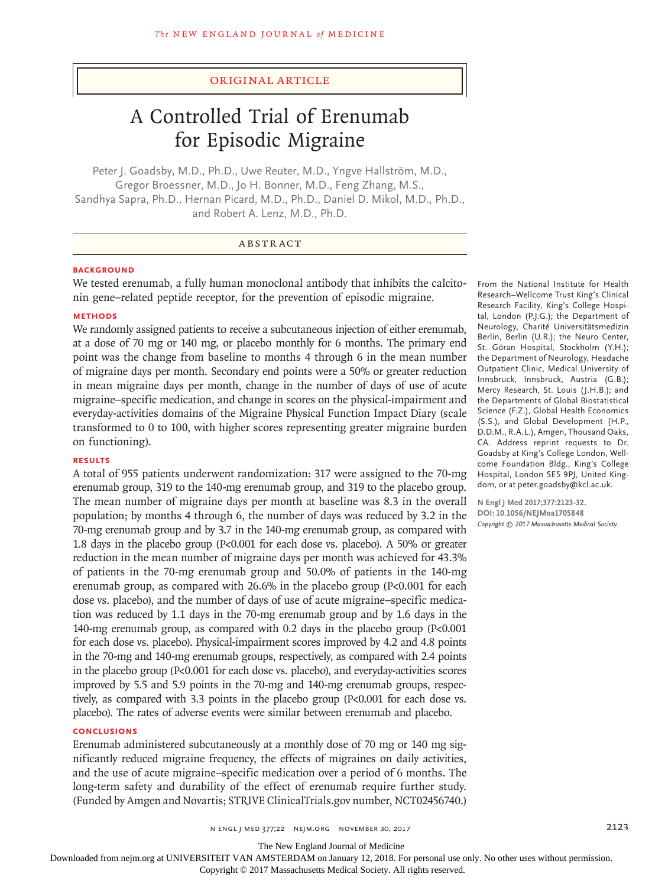#### Original Article

# A Controlled Trial of Erenumab for Episodic Migraine

Peter J. Goadsby, M.D., Ph.D., Uwe Reuter, M.D., Yngve Hallström, M.D., Gregor Broessner, M.D., Jo H. Bonner, M.D., Feng Zhang, M.S., Sandhya Sapra, Ph.D., Hernan Picard, M.D., Ph.D., Daniel D. Mikol, M.D., Ph.D., and Robert A. Lenz, M.D., Ph.D.

### ABSTRACT

#### **BACKGROUND**

We tested erenumab, a fully human monoclonal antibody that inhibits the calcitonin gene–related peptide receptor, for the prevention of episodic migraine.

#### **METHODS**

We randomly assigned patients to receive a subcutaneous injection of either erenumab, at a dose of 70 mg or 140 mg, or placebo monthly for 6 months. The primary end point was the change from baseline to months 4 through 6 in the mean number of migraine days per month. Secondary end points were a 50% or greater reduction in mean migraine days per month, change in the number of days of use of acute migraine–specific medication, and change in scores on the physical-impairment and everyday-activities domains of the Migraine Physical Function Impact Diary (scale transformed to 0 to 100, with higher scores representing greater migraine burden on functioning).

#### **RESULTS**

A total of 955 patients underwent randomization: 317 were assigned to the 70-mg erenumab group, 319 to the 140-mg erenumab group, and 319 to the placebo group. The mean number of migraine days per month at baseline was 8.3 in the overall population; by months 4 through 6, the number of days was reduced by 3.2 in the 70-mg erenumab group and by 3.7 in the 140-mg erenumab group, as compared with 1.8 days in the placebo group (P<0.001 for each dose vs. placebo). A 50% or greater reduction in the mean number of migraine days per month was achieved for 43.3% of patients in the 70-mg erenumab group and 50.0% of patients in the 140-mg erenumab group, as compared with 26.6% in the placebo group (P<0.001 for each dose vs. placebo), and the number of days of use of acute migraine–specific medication was reduced by 1.1 days in the 70-mg erenumab group and by 1.6 days in the 140-mg erenumab group, as compared with 0.2 days in the placebo group (P<0.001 for each dose vs. placebo). Physical-impairment scores improved by 4.2 and 4.8 points in the 70-mg and 140-mg erenumab groups, respectively, as compared with 2.4 points in the placebo group (P<0.001 for each dose vs. placebo), and everyday-activities scores improved by 5.5 and 5.9 points in the 70-mg and 140-mg erenumab groups, respectively, as compared with 3.3 points in the placebo group (P<0.001 for each dose vs. placebo). The rates of adverse events were similar between erenumab and placebo.

#### **CONCLUSIONS**

Erenumab administered subcutaneously at a monthly dose of 70 mg or 140 mg significantly reduced migraine frequency, the effects of migraines on daily activities, and the use of acute migraine–specific medication over a period of 6 months. The long-term safety and durability of the effect of erenumab require further study. (Funded by Amgen and Novartis; STRIVE ClinicalTrials.gov number, NCT02456740.)

From the National Institute for Health Research–Wellcome Trust King's Clinical Research Facility, King's College Hospital, London (P.J.G.); the Department of Neurology, Charité Universitätsmedizin Berlin, Berlin (U.R.); the Neuro Center, St. Göran Hospital, Stockholm (Y.H.); the Department of Neurology, Headache Outpatient Clinic, Medical University of Innsbruck, Innsbruck, Austria (G.B.); Mercy Research, St. Louis (J.H.B.); and the Departments of Global Biostatistical Science (F.Z.), Global Health Economics (S.S.), and Global Development (H.P., D.D.M., R.A.L.), Amgen, Thousand Oaks, CA. Address reprint requests to Dr. Goadsby at King's College London, Wellcome Foundation Bldg., King's College Hospital, London SE5 9PJ, United Kingdom, or at peter.goadsby@kcl.ac.uk.

**N Engl J Med 2017;377:2123-32. DOI: 10.1056/NEJMoa1705848** *Copyright © 2017 Massachusetts Medical Society.*

The New England Journal of Medicine

Downloaded from nejm.org at UNIVERSITEIT VAN AMSTERDAM on January 12, 2018. For personal use only. No other uses without permission.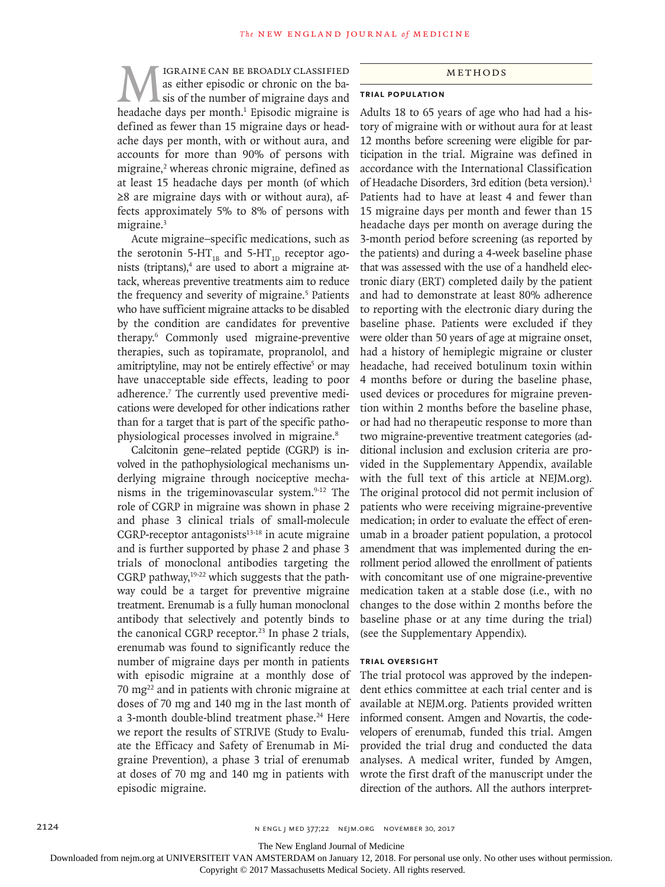MIGRAINE CAN BE BROADLY CLASSIFIED<br>as either episodic or chronic on the ba-<br>headache days ner month.<sup>1</sup> Episodic migraine is as either episodic or chronic on the basis of the number of migraine days and headache days per month.<sup>1</sup> Episodic migraine is defined as fewer than 15 migraine days or headache days per month, with or without aura, and accounts for more than 90% of persons with migraine,<sup>2</sup> whereas chronic migraine, defined as at least 15 headache days per month (of which ≥8 are migraine days with or without aura), affects approximately 5% to 8% of persons with migraine.<sup>3</sup>

Acute migraine–specific medications, such as the serotonin 5-HT<sub>1B</sub> and 5-HT<sub>1D</sub> receptor agonists (triptans),<sup>4</sup> are used to abort a migraine attack, whereas preventive treatments aim to reduce the frequency and severity of migraine.<sup>5</sup> Patients who have sufficient migraine attacks to be disabled by the condition are candidates for preventive therapy.6 Commonly used migraine-preventive therapies, such as topiramate, propranolol, and amitriptyline, may not be entirely effective<sup>5</sup> or may have unacceptable side effects, leading to poor adherence.<sup>7</sup> The currently used preventive medications were developed for other indications rather than for a target that is part of the specific pathophysiological processes involved in migraine.8

Calcitonin gene–related peptide (CGRP) is involved in the pathophysiological mechanisms underlying migraine through nociceptive mechanisms in the trigeminovascular system.<sup>9-12</sup> The role of CGRP in migraine was shown in phase 2 and phase 3 clinical trials of small-molecule  $CGRP-receptor$  antagonists $13-18$  in acute migraine and is further supported by phase 2 and phase 3 trials of monoclonal antibodies targeting the CGRP pathway,<sup>19-22</sup> which suggests that the pathway could be a target for preventive migraine treatment. Erenumab is a fully human monoclonal antibody that selectively and potently binds to the canonical CGRP receptor.<sup>23</sup> In phase 2 trials, erenumab was found to significantly reduce the number of migraine days per month in patients with episodic migraine at a monthly dose of 70 mg22 and in patients with chronic migraine at doses of 70 mg and 140 mg in the last month of a 3-month double-blind treatment phase.<sup>24</sup> Here we report the results of STRIVE (Study to Evaluate the Efficacy and Safety of Erenumab in Migraine Prevention), a phase 3 trial of erenumab at doses of 70 mg and 140 mg in patients with episodic migraine.

#### Methods

## **Trial Population**

Adults 18 to 65 years of age who had had a history of migraine with or without aura for at least 12 months before screening were eligible for participation in the trial. Migraine was defined in accordance with the International Classification of Headache Disorders, 3rd edition (beta version).<sup>1</sup> Patients had to have at least 4 and fewer than 15 migraine days per month and fewer than 15 headache days per month on average during the 3-month period before screening (as reported by the patients) and during a 4-week baseline phase that was assessed with the use of a handheld electronic diary (ERT) completed daily by the patient and had to demonstrate at least 80% adherence to reporting with the electronic diary during the baseline phase. Patients were excluded if they were older than 50 years of age at migraine onset, had a history of hemiplegic migraine or cluster headache, had received botulinum toxin within 4 months before or during the baseline phase, used devices or procedures for migraine prevention within 2 months before the baseline phase, or had had no therapeutic response to more than two migraine-preventive treatment categories (additional inclusion and exclusion criteria are provided in the Supplementary Appendix, available with the full text of this article at NEJM.org). The original protocol did not permit inclusion of patients who were receiving migraine-preventive medication; in order to evaluate the effect of erenumab in a broader patient population, a protocol amendment that was implemented during the enrollment period allowed the enrollment of patients with concomitant use of one migraine-preventive medication taken at a stable dose (i.e., with no changes to the dose within 2 months before the baseline phase or at any time during the trial) (see the Supplementary Appendix).

#### **Trial Oversight**

The trial protocol was approved by the independent ethics committee at each trial center and is available at NEJM.org. Patients provided written informed consent. Amgen and Novartis, the codevelopers of erenumab, funded this trial. Amgen provided the trial drug and conducted the data analyses. A medical writer, funded by Amgen, wrote the first draft of the manuscript under the direction of the authors. All the authors interpret-

The New England Journal of Medicine

Downloaded from nejm.org at UNIVERSITEIT VAN AMSTERDAM on January 12, 2018. For personal use only. No other uses without permission.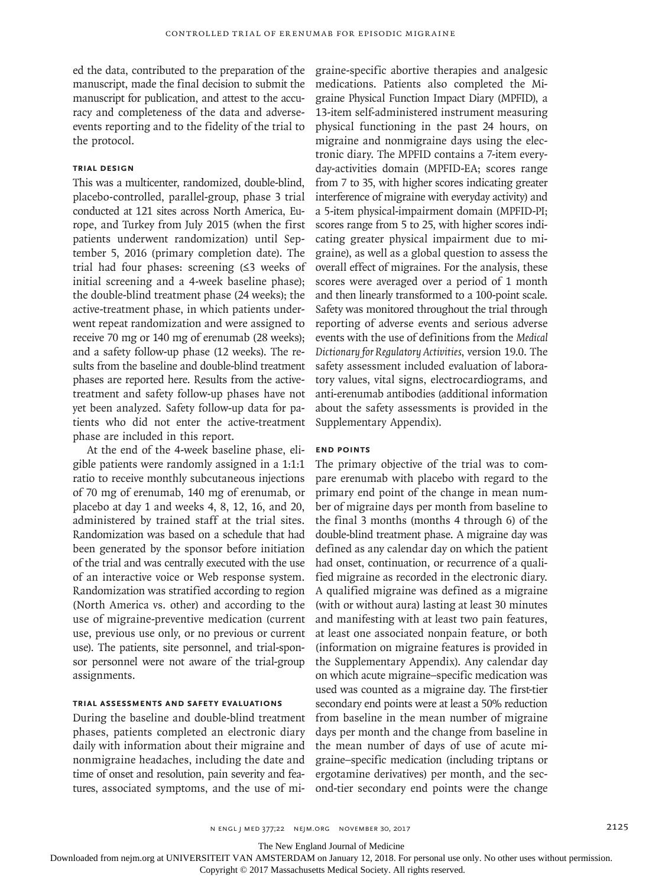ed the data, contributed to the preparation of the manuscript, made the final decision to submit the manuscript for publication, and attest to the accuracy and completeness of the data and adverseevents reporting and to the fidelity of the trial to the protocol.

#### **Trial Design**

This was a multicenter, randomized, double-blind, placebo-controlled, parallel-group, phase 3 trial conducted at 121 sites across North America, Europe, and Turkey from July 2015 (when the first patients underwent randomization) until September 5, 2016 (primary completion date). The trial had four phases: screening (≤3 weeks of initial screening and a 4-week baseline phase); the double-blind treatment phase (24 weeks); the active-treatment phase, in which patients underwent repeat randomization and were assigned to receive 70 mg or 140 mg of erenumab (28 weeks); and a safety follow-up phase (12 weeks). The results from the baseline and double-blind treatment phases are reported here. Results from the activetreatment and safety follow-up phases have not yet been analyzed. Safety follow-up data for patients who did not enter the active-treatment phase are included in this report.

At the end of the 4-week baseline phase, eligible patients were randomly assigned in a 1:1:1 ratio to receive monthly subcutaneous injections of 70 mg of erenumab, 140 mg of erenumab, or placebo at day 1 and weeks 4, 8, 12, 16, and 20, administered by trained staff at the trial sites. Randomization was based on a schedule that had been generated by the sponsor before initiation of the trial and was centrally executed with the use of an interactive voice or Web response system. Randomization was stratified according to region (North America vs. other) and according to the use of migraine-preventive medication (current use, previous use only, or no previous or current use). The patients, site personnel, and trial-sponsor personnel were not aware of the trial-group assignments.

#### **Trial Assessments and Safety Evaluations**

During the baseline and double-blind treatment phases, patients completed an electronic diary daily with information about their migraine and nonmigraine headaches, including the date and time of onset and resolution, pain severity and features, associated symptoms, and the use of migraine-specific abortive therapies and analgesic medications. Patients also completed the Migraine Physical Function Impact Diary (MPFID), a 13-item self-administered instrument measuring physical functioning in the past 24 hours, on migraine and nonmigraine days using the electronic diary. The MPFID contains a 7-item everyday-activities domain (MPFID-EA; scores range from 7 to 35, with higher scores indicating greater interference of migraine with everyday activity) and a 5-item physical-impairment domain (MPFID-PI; scores range from 5 to 25, with higher scores indicating greater physical impairment due to migraine), as well as a global question to assess the overall effect of migraines. For the analysis, these scores were averaged over a period of 1 month and then linearly transformed to a 100-point scale. Safety was monitored throughout the trial through reporting of adverse events and serious adverse events with the use of definitions from the *Medical Dictionary for Regulatory Activities*, version 19.0. The safety assessment included evaluation of laboratory values, vital signs, electrocardiograms, and anti-erenumab antibodies (additional information about the safety assessments is provided in the Supplementary Appendix).

#### **End Points**

The primary objective of the trial was to compare erenumab with placebo with regard to the primary end point of the change in mean number of migraine days per month from baseline to the final 3 months (months 4 through 6) of the double-blind treatment phase. A migraine day was defined as any calendar day on which the patient had onset, continuation, or recurrence of a qualified migraine as recorded in the electronic diary. A qualified migraine was defined as a migraine (with or without aura) lasting at least 30 minutes and manifesting with at least two pain features, at least one associated nonpain feature, or both (information on migraine features is provided in the Supplementary Appendix). Any calendar day on which acute migraine–specific medication was used was counted as a migraine day. The first-tier secondary end points were at least a 50% reduction from baseline in the mean number of migraine days per month and the change from baseline in the mean number of days of use of acute migraine–specific medication (including triptans or ergotamine derivatives) per month, and the second-tier secondary end points were the change

n engl j med 377;22 nejm.org November 30, 2017 2125

The New England Journal of Medicine

Downloaded from nejm.org at UNIVERSITEIT VAN AMSTERDAM on January 12, 2018. For personal use only. No other uses without permission.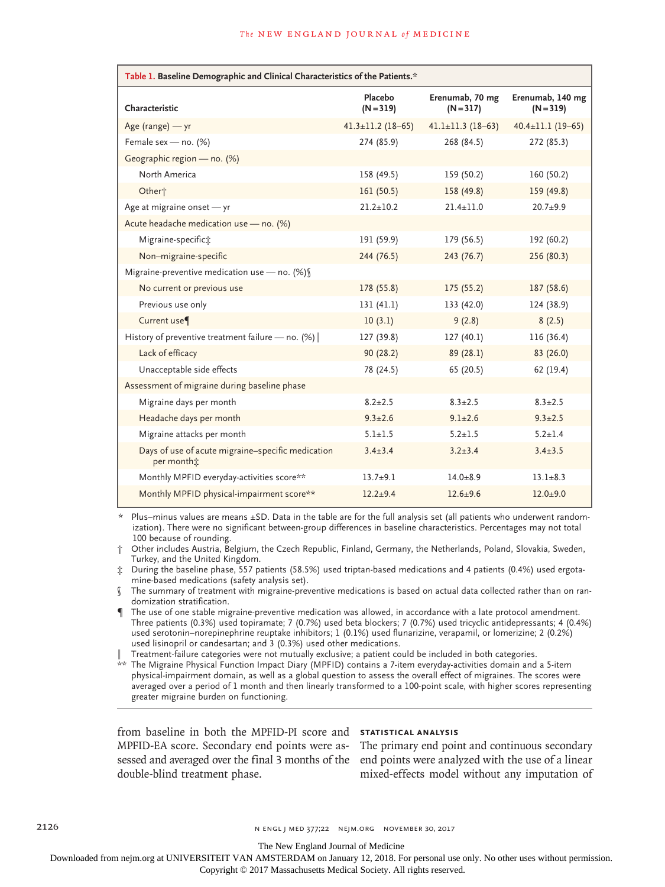| Table 1. Baseline Demographic and Clinical Characteristics of the Patients.* |                         |                                |                                 |  |  |  |
|------------------------------------------------------------------------------|-------------------------|--------------------------------|---------------------------------|--|--|--|
| Characteristic                                                               | Placebo<br>$(N = 319)$  | Erenumab, 70 mg<br>$(N = 317)$ | Erenumab, 140 mg<br>$(N = 319)$ |  |  |  |
| Age (range) - yr                                                             | $41.3 \pm 11.2$ (18-65) | $41.1 \pm 11.3$ (18-63)        | $40.4 \pm 11.1$ (19-65)         |  |  |  |
| Female sex - no. (%)                                                         | 274 (85.9)              | 268 (84.5)                     | 272 (85.3)                      |  |  |  |
| Geographic region - no. (%)                                                  |                         |                                |                                 |  |  |  |
| North America                                                                | 158 (49.5)              | 159 (50.2)                     | 160 (50.2)                      |  |  |  |
| Other <sup>+</sup>                                                           | 161(50.5)               | 158 (49.8)                     | 159 (49.8)                      |  |  |  |
| Age at migraine onset - yr                                                   | $21.2 + 10.2$           | $21.4 + 11.0$                  | $20.7 + 9.9$                    |  |  |  |
| Acute headache medication use - no. (%)                                      |                         |                                |                                 |  |  |  |
| Migraine-specifict:                                                          | 191 (59.9)              | 179 (56.5)                     | 192 (60.2)                      |  |  |  |
| Non-migraine-specific                                                        | 244 (76.5)              | 243 (76.7)                     | 256 (80.3)                      |  |  |  |
| Migraine-preventive medication use - no. $(\%)$                              |                         |                                |                                 |  |  |  |
| No current or previous use                                                   | 178 (55.8)              | 175(55.2)                      | 187 (58.6)                      |  |  |  |
| Previous use only                                                            | 131 (41.1)              | 133(42.0)                      | 124 (38.9)                      |  |  |  |
| Current use <sup>¶</sup>                                                     | 10(3.1)                 | 9(2.8)                         | 8(2.5)                          |  |  |  |
| History of preventive treatment failure - no. (%)                            | 127 (39.8)              | 127(40.1)                      | 116 (36.4)                      |  |  |  |
| Lack of efficacy                                                             | 90(28.2)                | 89(28.1)                       | 83 (26.0)                       |  |  |  |
| Unacceptable side effects                                                    | 78 (24.5)               | 65 (20.5)                      | 62 (19.4)                       |  |  |  |
| Assessment of migraine during baseline phase                                 |                         |                                |                                 |  |  |  |
| Migraine days per month                                                      | $8.2 + 2.5$             | $8.3 + 2.5$                    | $8.3 + 2.5$                     |  |  |  |
| Headache days per month                                                      | $9.3 \pm 2.6$           | $9.1 + 2.6$                    | $9.3 + 2.5$                     |  |  |  |
| Migraine attacks per month                                                   | $5.1 + 1.5$             | $5.2 + 1.5$                    | $5.2 + 1.4$                     |  |  |  |
| Days of use of acute migraine-specific medication<br>per month <sub>i</sub>  | $3.4 + 3.4$             | $3.2 + 3.4$                    | $3.4 + 3.5$                     |  |  |  |
| Monthly MPFID everyday-activities score**                                    | $13.7 + 9.1$            | $14.0 + 8.9$                   | $13.1 + 8.3$                    |  |  |  |
| Monthly MPFID physical-impairment score**                                    | $12.2 + 9.4$            | $12.6 + 9.6$                   | $12.0 + 9.0$                    |  |  |  |

Plus–minus values are means  $\pm$ SD. Data in the table are for the full analysis set (all patients who underwent randomization). There were no significant between-group differences in baseline characteristics. Percentages may not total 100 because of rounding.

† Other includes Austria, Belgium, the Czech Republic, Finland, Germany, the Netherlands, Poland, Slovakia, Sweden, Turkey, and the United Kingdom.

‡ During the baseline phase, 557 patients (58.5%) used triptan-based medications and 4 patients (0.4%) used ergotamine-based medications (safety analysis set).

The summary of treatment with migraine-preventive medications is based on actual data collected rather than on randomization stratification.

¶ The use of one stable migraine-preventive medication was allowed, in accordance with a late protocol amendment. Three patients (0.3%) used topiramate; 7 (0.7%) used beta blockers; 7 (0.7%) used tricyclic antidepressants; 4 (0.4%) used serotonin–norepinephrine reuptake inhibitors; 1 (0.1%) used flunarizine, verapamil, or lomerizine; 2 (0.2%) used lisinopril or candesartan; and 3 (0.3%) used other medications.

‖ Treatment-failure categories were not mutually exclusive; a patient could be included in both categories.

\*\* The Migraine Physical Function Impact Diary (MPFID) contains a 7-item everyday-activities domain and a 5-item physical-impairment domain, as well as a global question to assess the overall effect of migraines. The scores were averaged over a period of 1 month and then linearly transformed to a 100-point scale, with higher scores representing greater migraine burden on functioning.

from baseline in both the MPFID-PI score and **Statistical Analysis** MPFID-EA score. Secondary end points were as-The primary end point and continuous secondary double-blind treatment phase.

sessed and averaged over the final 3 months of the end points were analyzed with the use of a linear mixed-effects model without any imputation of

2126 **n ENGL J MED 377;22 NEIM.ORG NOVEMBER 30, 2017** 

The New England Journal of Medicine

Downloaded from nejm.org at UNIVERSITEIT VAN AMSTERDAM on January 12, 2018. For personal use only. No other uses without permission.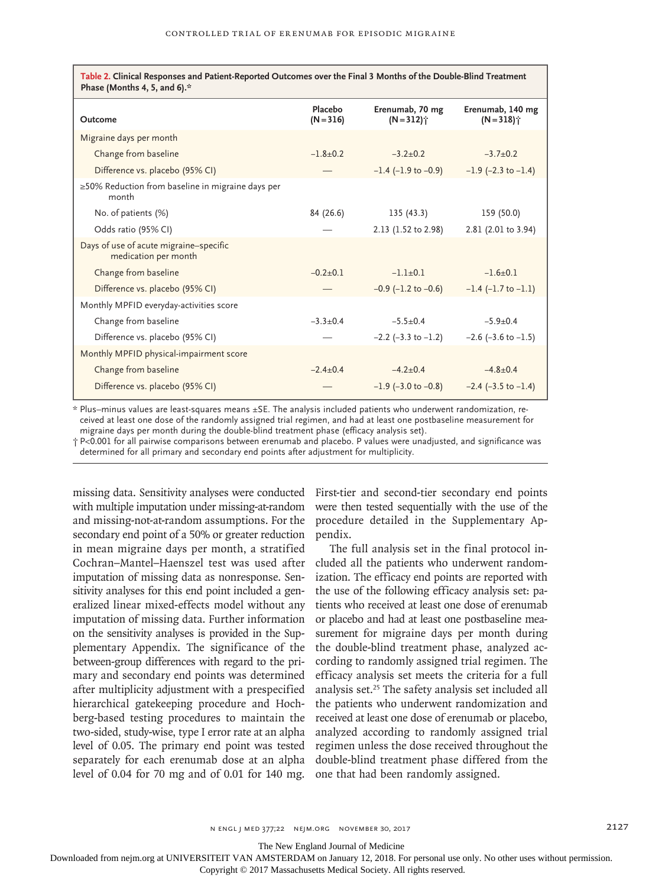**Table 2. Clinical Responses and Patient-Reported Outcomes over the Final 3 Months of the Double-Blind Treatment Phase (Months 4, 5, and 6).\***

| Outcome                                                        | Placebo<br>$(N = 316)$ | Erenumab, 70 mg<br>$(N = 312)^{4}$ | Erenumab, 140 mg<br>$(N=318)$ <sup>*</sup> |
|----------------------------------------------------------------|------------------------|------------------------------------|--------------------------------------------|
| Migraine days per month                                        |                        |                                    |                                            |
| Change from baseline                                           | $-1.8+0.2$             | $-3.2+0.2$                         | $-3.7+0.2$                                 |
| Difference vs. placebo (95% CI)                                |                        | $-1.4$ ( $-1.9$ to $-0.9$ )        | $-1.9$ (-2.3 to $-1.4$ )                   |
| ≥50% Reduction from baseline in migraine days per<br>month     |                        |                                    |                                            |
| No. of patients (%)                                            | 84 (26.6)              | 135(43.3)                          | 159 (50.0)                                 |
| Odds ratio (95% CI)                                            |                        | 2.13 (1.52 to 2.98)                | 2.81 (2.01 to 3.94)                        |
| Days of use of acute migraine-specific<br>medication per month |                        |                                    |                                            |
| Change from baseline                                           | $-0.2+0.1$             | $-1.1+0.1$                         | $-1.6+0.1$                                 |
| Difference vs. placebo (95% CI)                                |                        | $-0.9$ ( $-1.2$ to $-0.6$ )        | $-1.4$ ( $-1.7$ to $-1.1$ )                |
| Monthly MPFID everyday-activities score                        |                        |                                    |                                            |
| Change from baseline                                           | $-3.3+0.4$             | $-5.5+0.4$                         | $-5.9+0.4$                                 |
| Difference vs. placebo (95% CI)                                |                        | $-2.2$ ( $-3.3$ to $-1.2$ )        | $-2.6$ ( $-3.6$ to $-1.5$ )                |
| Monthly MPFID physical-impairment score                        |                        |                                    |                                            |
| Change from baseline                                           | $-2.4+0.4$             | $-4.2+0.4$                         | $-4.8+0.4$                                 |
| Difference vs. placebo (95% CI)                                |                        | $-1.9$ (-3.0 to $-0.8$ )           | $-2.4$ ( $-3.5$ to $-1.4$ )                |

\* Plus–minus values are least-squares means ±SE. The analysis included patients who underwent randomization, received at least one dose of the randomly assigned trial regimen, and had at least one postbaseline measurement for migraine days per month during the double-blind treatment phase (efficacy analysis set).

† P<0.001 for all pairwise comparisons between erenumab and placebo. P values were unadjusted, and significance was determined for all primary and secondary end points after adjustment for multiplicity.

missing data. Sensitivity analyses were conducted First-tier and second-tier secondary end points with multiple imputation under missing-at-random and missing-not-at-random assumptions. For the secondary end point of a 50% or greater reduction in mean migraine days per month, a stratified Cochran–Mantel–Haenszel test was used after imputation of missing data as nonresponse. Sensitivity analyses for this end point included a generalized linear mixed-effects model without any imputation of missing data. Further information on the sensitivity analyses is provided in the Supplementary Appendix. The significance of the between-group differences with regard to the primary and secondary end points was determined after multiplicity adjustment with a prespecified hierarchical gatekeeping procedure and Hochberg-based testing procedures to maintain the two-sided, study-wise, type I error rate at an alpha level of 0.05. The primary end point was tested separately for each erenumab dose at an alpha level of 0.04 for 70 mg and of 0.01 for 140 mg.

were then tested sequentially with the use of the procedure detailed in the Supplementary Appendix.

The full analysis set in the final protocol included all the patients who underwent randomization. The efficacy end points are reported with the use of the following efficacy analysis set: patients who received at least one dose of erenumab or placebo and had at least one postbaseline measurement for migraine days per month during the double-blind treatment phase, analyzed according to randomly assigned trial regimen. The efficacy analysis set meets the criteria for a full analysis set.25 The safety analysis set included all the patients who underwent randomization and received at least one dose of erenumab or placebo, analyzed according to randomly assigned trial regimen unless the dose received throughout the double-blind treatment phase differed from the one that had been randomly assigned.

The New England Journal of Medicine

Downloaded from nejm.org at UNIVERSITEIT VAN AMSTERDAM on January 12, 2018. For personal use only. No other uses without permission.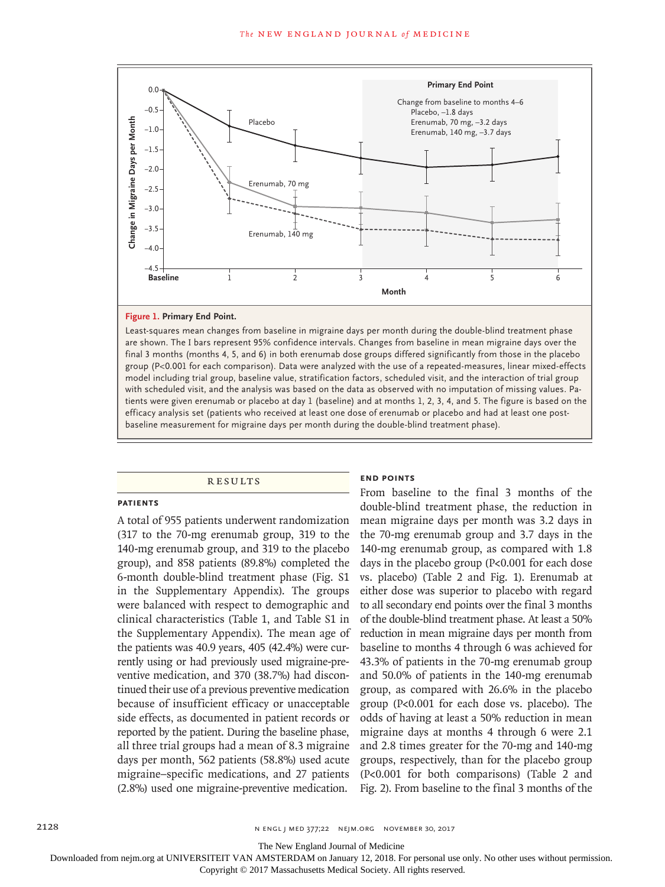

#### **Figure 1. Primary End Point.**

Least-squares mean changes from baseline in migraine days per month during the double-blind treatment phase are shown. The I bars represent 95% confidence intervals. Changes from baseline in mean migraine days over the final 3 months (months 4, 5, and 6) in both erenumab dose groups differed significantly from those in the placebo group (P<0.001 for each comparison). Data were analyzed with the use of a repeated-measures, linear mixed-effects model including trial group, baseline value, stratification factors, scheduled visit, and the interaction of trial group with scheduled visit, and the analysis was based on the data as observed with no imputation of missing values. Patients were given erenumab or placebo at day 1 (baseline) and at months 1, 2, 3, 4, and 5. The figure is based on the efficacy analysis set (patients who received at least one dose of erenumab or placebo and had at least one post-

#### **RESULTS**

#### **Patients**

A total of 955 patients underwent randomization (317 to the 70-mg erenumab group, 319 to the 140-mg erenumab group, and 319 to the placebo group), and 858 patients (89.8%) completed the 6-month double-blind treatment phase (Fig. S1 in the Supplementary Appendix). The groups were balanced with respect to demographic and clinical characteristics (Table 1, and Table S1 in the Supplementary Appendix). The mean age of the patients was 40.9 years, 405 (42.4%) were currently using or had previously used migraine-preventive medication, and 370 (38.7%) had discontinued their use of a previous preventive medication because of insufficient efficacy or unacceptable side effects, as documented in patient records or reported by the patient. During the baseline phase, all three trial groups had a mean of 8.3 migraine days per month, 562 patients (58.8%) used acute migraine–specific medications, and 27 patients (2.8%) used one migraine-preventive medication.

#### **End Points**

From baseline to the final 3 months of the double-blind treatment phase, the reduction in mean migraine days per month was 3.2 days in the 70-mg erenumab group and 3.7 days in the 140-mg erenumab group, as compared with 1.8 days in the placebo group (P<0.001 for each dose vs. placebo) (Table 2 and Fig. 1). Erenumab at either dose was superior to placebo with regard to all secondary end points over the final 3 months of the double-blind treatment phase. At least a 50% reduction in mean migraine days per month from baseline to months 4 through 6 was achieved for 43.3% of patients in the 70-mg erenumab group and 50.0% of patients in the 140-mg erenumab group, as compared with 26.6% in the placebo group (P<0.001 for each dose vs. placebo). The odds of having at least a 50% reduction in mean migraine days at months 4 through 6 were 2.1 and 2.8 times greater for the 70-mg and 140-mg groups, respectively, than for the placebo group (P<0.001 for both comparisons) (Table 2 and Fig. 2). From baseline to the final 3 months of the

The New England Journal of Medicine

Downloaded from nejm.org at UNIVERSITEIT VAN AMSTERDAM on January 12, 2018. For personal use only. No other uses without permission.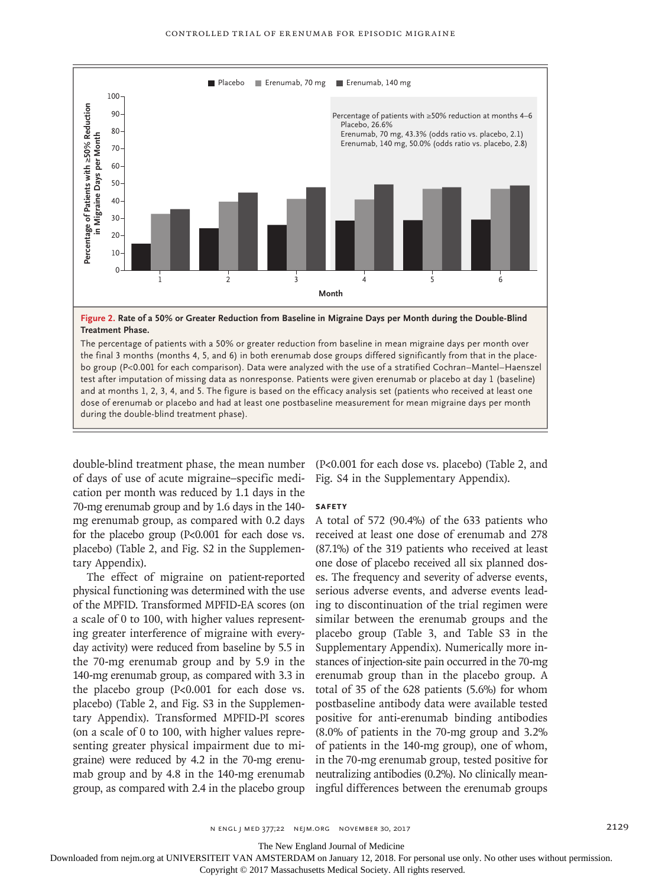

The percentage of patients with a 50% or greater reduction from baseline in mean migraine days per month over the final 3 months (months 4, 5, and 6) in both erenumab dose groups differed significantly from that in the placebo group (P<0.001 for each comparison). Data were analyzed with the use of a stratified Cochran–Mantel–Haenszel test after imputation of missing data as nonresponse. Patients were given erenumab or placebo at day 1 (baseline) and at months 1, 2, 3, 4, and 5. The figure is based on the efficacy analysis set (patients who received at least one dose of erenumab or placebo and had at least one postbaseline measurement for mean migraine days per month

double-blind treatment phase, the mean number (P<0.001 for each dose vs. placebo) (Table 2, and of days of use of acute migraine–specific medication per month was reduced by 1.1 days in the 70-mg erenumab group and by 1.6 days in the 140 mg erenumab group, as compared with 0.2 days for the placebo group (P<0.001 for each dose vs. placebo) (Table 2, and Fig. S2 in the Supplementary Appendix).

The effect of migraine on patient-reported physical functioning was determined with the use of the MPFID. Transformed MPFID-EA scores (on a scale of 0 to 100, with higher values representing greater interference of migraine with everyday activity) were reduced from baseline by 5.5 in the 70-mg erenumab group and by 5.9 in the 140-mg erenumab group, as compared with 3.3 in the placebo group (P<0.001 for each dose vs. placebo) (Table 2, and Fig. S3 in the Supplementary Appendix). Transformed MPFID-PI scores (on a scale of 0 to 100, with higher values representing greater physical impairment due to migraine) were reduced by 4.2 in the 70-mg erenumab group and by 4.8 in the 140-mg erenumab group, as compared with 2.4 in the placebo group

Fig. S4 in the Supplementary Appendix).

#### **Safety**

A total of 572 (90.4%) of the 633 patients who received at least one dose of erenumab and 278 (87.1%) of the 319 patients who received at least one dose of placebo received all six planned doses. The frequency and severity of adverse events, serious adverse events, and adverse events leading to discontinuation of the trial regimen were similar between the erenumab groups and the placebo group (Table 3, and Table S3 in the Supplementary Appendix). Numerically more instances of injection-site pain occurred in the 70-mg erenumab group than in the placebo group. A total of 35 of the 628 patients (5.6%) for whom postbaseline antibody data were available tested positive for anti-erenumab binding antibodies (8.0% of patients in the 70-mg group and 3.2% of patients in the 140-mg group), one of whom, in the 70-mg erenumab group, tested positive for neutralizing antibodies (0.2%). No clinically meaningful differences between the erenumab groups

n engl j med 377;22 nejm.org November 30, 2017 2129

The New England Journal of Medicine

Downloaded from nejm.org at UNIVERSITEIT VAN AMSTERDAM on January 12, 2018. For personal use only. No other uses without permission.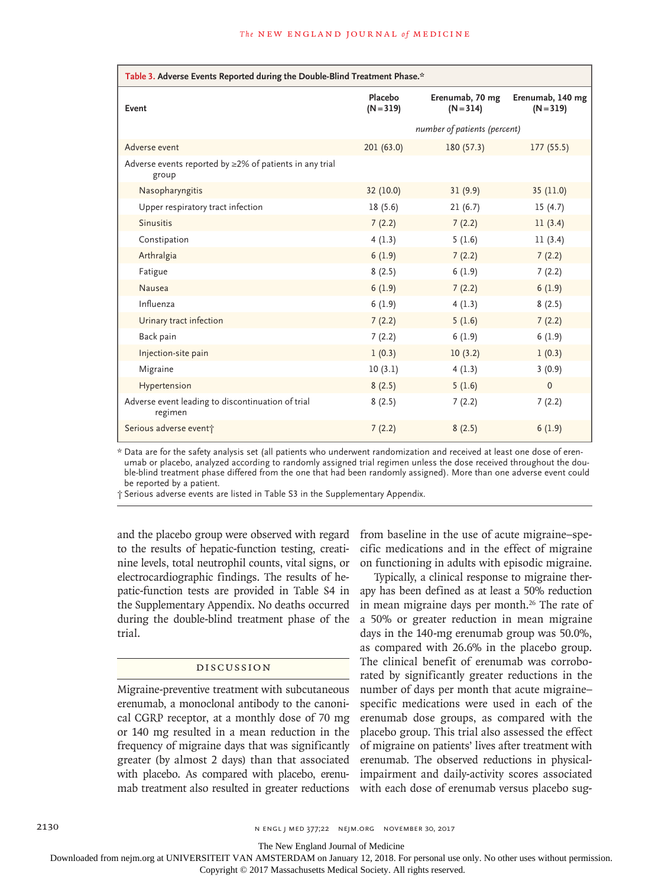| Table 3. Adverse Events Reported during the Double-Blind Treatment Phase.* |                        |                                |                                 |  |  |
|----------------------------------------------------------------------------|------------------------|--------------------------------|---------------------------------|--|--|
| Event                                                                      | Placebo<br>$(N = 319)$ | Erenumab, 70 mg<br>$(N = 314)$ | Erenumab, 140 mg<br>$(N = 319)$ |  |  |
|                                                                            |                        | number of patients (percent)   |                                 |  |  |
| Adverse event                                                              | 201(63.0)              | 180(57.3)                      | 177(55.5)                       |  |  |
| Adverse events reported by $\geq$ 2% of patients in any trial<br>group     |                        |                                |                                 |  |  |
| Nasopharyngitis                                                            | 32 (10.0)              | 31(9.9)                        | 35(11.0)                        |  |  |
| Upper respiratory tract infection                                          | 18(5.6)                | 21(6.7)                        | 15(4.7)                         |  |  |
| <b>Sinusitis</b>                                                           | 7(2.2)                 | 7(2.2)                         | 11(3.4)                         |  |  |
| Constipation                                                               | 4(1.3)                 | 5(1.6)                         | 11(3.4)                         |  |  |
| Arthralgia                                                                 | 6(1.9)                 | 7(2.2)                         | 7(2.2)                          |  |  |
| Fatigue                                                                    | 8(2.5)                 | 6(1.9)                         | 7(2.2)                          |  |  |
| Nausea                                                                     | 6(1.9)                 | 7(2.2)                         | 6(1.9)                          |  |  |
| Influenza                                                                  | 6(1.9)                 | 4(1.3)                         | 8(2.5)                          |  |  |
| Urinary tract infection                                                    | 7(2.2)                 | 5(1.6)                         | 7(2.2)                          |  |  |
| Back pain                                                                  | 7(2.2)                 | 6(1.9)                         | 6(1.9)                          |  |  |
| Injection-site pain                                                        | 1(0.3)                 | 10(3.2)                        | 1(0.3)                          |  |  |
| Migraine                                                                   | 10(3.1)                | 4(1.3)                         | 3(0.9)                          |  |  |
| Hypertension                                                               | 8(2.5)                 | 5(1.6)                         | $\Omega$                        |  |  |
| Adverse event leading to discontinuation of trial<br>regimen               | 8(2.5)                 | 7(2.2)                         | 7(2.2)                          |  |  |
| Serious adverse event+                                                     | 7(2.2)                 | 8(2.5)                         | 6(1.9)                          |  |  |

\* Data are for the safety analysis set (all patients who underwent randomization and received at least one dose of erenumab or placebo, analyzed according to randomly assigned trial regimen unless the dose received throughout the double-blind treatment phase differed from the one that had been randomly assigned). More than one adverse event could be reported by a patient.

† Serious adverse events are listed in Table S3 in the Supplementary Appendix.

and the placebo group were observed with regard to the results of hepatic-function testing, creatinine levels, total neutrophil counts, vital signs, or electrocardiographic findings. The results of hepatic-function tests are provided in Table S4 in the Supplementary Appendix. No deaths occurred during the double-blind treatment phase of the trial.

#### Discussion

Migraine-preventive treatment with subcutaneous erenumab, a monoclonal antibody to the canonical CGRP receptor, at a monthly dose of 70 mg or 140 mg resulted in a mean reduction in the frequency of migraine days that was significantly greater (by almost 2 days) than that associated with placebo. As compared with placebo, erenumab treatment also resulted in greater reductions from baseline in the use of acute migraine–specific medications and in the effect of migraine on functioning in adults with episodic migraine.

Typically, a clinical response to migraine therapy has been defined as at least a 50% reduction in mean migraine days per month.<sup>26</sup> The rate of a 50% or greater reduction in mean migraine days in the 140-mg erenumab group was 50.0%, as compared with 26.6% in the placebo group. The clinical benefit of erenumab was corroborated by significantly greater reductions in the number of days per month that acute migraine– specific medications were used in each of the erenumab dose groups, as compared with the placebo group. This trial also assessed the effect of migraine on patients' lives after treatment with erenumab. The observed reductions in physicalimpairment and daily-activity scores associated with each dose of erenumab versus placebo sug-

2130 **N ENGL J MED 377;22 NEIM.ORG NOVEMBER 30, 2017** 

The New England Journal of Medicine

Downloaded from nejm.org at UNIVERSITEIT VAN AMSTERDAM on January 12, 2018. For personal use only. No other uses without permission.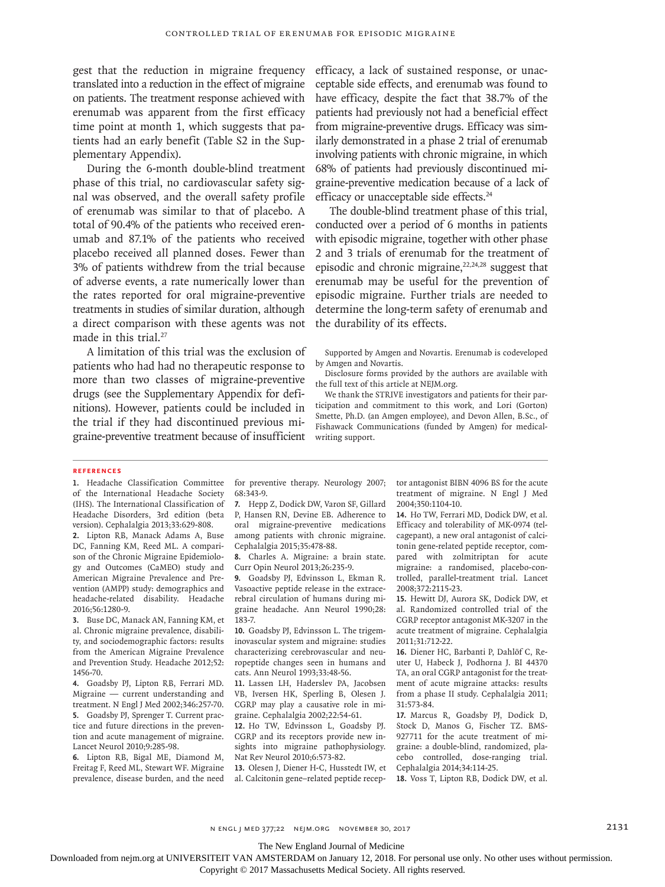gest that the reduction in migraine frequency translated into a reduction in the effect of migraine on patients. The treatment response achieved with erenumab was apparent from the first efficacy time point at month 1, which suggests that patients had an early benefit (Table S2 in the Supplementary Appendix).

During the 6-month double-blind treatment phase of this trial, no cardiovascular safety signal was observed, and the overall safety profile of erenumab was similar to that of placebo. A total of 90.4% of the patients who received erenumab and 87.1% of the patients who received placebo received all planned doses. Fewer than 3% of patients withdrew from the trial because of adverse events, a rate numerically lower than the rates reported for oral migraine-preventive treatments in studies of similar duration, although a direct comparison with these agents was not made in this trial.<sup>27</sup>

A limitation of this trial was the exclusion of patients who had had no therapeutic response to more than two classes of migraine-preventive drugs (see the Supplementary Appendix for definitions). However, patients could be included in the trial if they had discontinued previous migraine-preventive treatment because of insufficient efficacy, a lack of sustained response, or unacceptable side effects, and erenumab was found to have efficacy, despite the fact that 38.7% of the patients had previously not had a beneficial effect from migraine-preventive drugs. Efficacy was similarly demonstrated in a phase 2 trial of erenumab involving patients with chronic migraine, in which 68% of patients had previously discontinued migraine-preventive medication because of a lack of efficacy or unacceptable side effects.<sup>24</sup>

The double-blind treatment phase of this trial, conducted over a period of 6 months in patients with episodic migraine, together with other phase 2 and 3 trials of erenumab for the treatment of episodic and chronic migraine, $22,24,28$  suggest that erenumab may be useful for the prevention of episodic migraine. Further trials are needed to determine the long-term safety of erenumab and the durability of its effects.

Supported by Amgen and Novartis. Erenumab is codeveloped by Amgen and Novartis.

Disclosure forms provided by the authors are available with the full text of this article at NEJM.org.

We thank the STRIVE investigators and patients for their participation and commitment to this work, and Lori (Gorton) Smette, Ph.D. (an Amgen employee), and Devon Allen, B.Sc., of Fishawack Communications (funded by Amgen) for medicalwriting support.

#### **References**

**1.** Headache Classification Committee of the International Headache Society (IHS). The International Classification of Headache Disorders, 3rd edition (beta version). Cephalalgia 2013;33:629-808.

**2.** Lipton RB, Manack Adams A, Buse DC, Fanning KM, Reed ML. A comparison of the Chronic Migraine Epidemiology and Outcomes (CaMEO) study and American Migraine Prevalence and Prevention (AMPP) study: demographics and headache-related disability. Headache 2016;56:1280-9.

**3.** Buse DC, Manack AN, Fanning KM, et al. Chronic migraine prevalence, disability, and sociodemographic factors: results from the American Migraine Prevalence and Prevention Study. Headache 2012;52: 1456-70.

**4.** Goadsby PJ, Lipton RB, Ferrari MD. Migraine — current understanding and treatment. N Engl J Med 2002;346:257-70. **5.** Goadsby PJ, Sprenger T. Current practice and future directions in the prevention and acute management of migraine. Lancet Neurol 2010;9:285-98.

**6.** Lipton RB, Bigal ME, Diamond M, Freitag F, Reed ML, Stewart WF. Migraine prevalence, disease burden, and the need for preventive therapy. Neurology 2007; 68:343-9.

**7.** Hepp Z, Dodick DW, Varon SF, Gillard P, Hansen RN, Devine EB. Adherence to oral migraine-preventive medications among patients with chronic migraine. Cephalalgia 2015;35:478-88.

**8.** Charles A. Migraine: a brain state. Curr Opin Neurol 2013;26:235-9.

**9.** Goadsby PJ, Edvinsson L, Ekman R. Vasoactive peptide release in the extracerebral circulation of humans during migraine headache. Ann Neurol 1990;28: 183-7.

**10.** Goadsby PJ, Edvinsson L. The trigeminovascular system and migraine: studies characterizing cerebrovascular and neuropeptide changes seen in humans and cats. Ann Neurol 1993;33:48-56.

**11.** Lassen LH, Haderslev PA, Jacobsen VB, Iversen HK, Sperling B, Olesen J. CGRP may play a causative role in migraine. Cephalalgia 2002;22:54-61.

**12.** Ho TW, Edvinsson L, Goadsby PJ. CGRP and its receptors provide new insights into migraine pathophysiology. Nat Rev Neurol 2010;6:573-82.

**13.** Olesen J, Diener H-C, Husstedt IW, et al. Calcitonin gene–related peptide receptor antagonist BIBN 4096 BS for the acute treatment of migraine. N Engl J Med 2004;350:1104-10.

**14.** Ho TW, Ferrari MD, Dodick DW, et al. Efficacy and tolerability of MK-0974 (telcagepant), a new oral antagonist of calcitonin gene-related peptide receptor, compared with zolmitriptan for acute migraine: a randomised, placebo-controlled, parallel-treatment trial. Lancet 2008;372:2115-23.

**15.** Hewitt DJ, Aurora SK, Dodick DW, et al. Randomized controlled trial of the CGRP receptor antagonist MK-3207 in the acute treatment of migraine. Cephalalgia 2011;31:712-22.

**16.** Diener HC, Barbanti P, Dahlöf C, Reuter U, Habeck J, Podhorna J. BI 44370 TA, an oral CGRP antagonist for the treatment of acute migraine attacks: results from a phase II study. Cephalalgia 2011; 31:573-84.

**17.** Marcus R, Goadsby PJ, Dodick D, Stock D, Manos G, Fischer TZ. BMS-927711 for the acute treatment of migraine: a double-blind, randomized, placebo controlled, dose-ranging trial. Cephalalgia 2014;34:114-25.

**18.** Voss T, Lipton RB, Dodick DW, et al.

n engl j med 377;22 nejm.org November 30, 2017 2131

The New England Journal of Medicine

Downloaded from nejm.org at UNIVERSITEIT VAN AMSTERDAM on January 12, 2018. For personal use only. No other uses without permission.